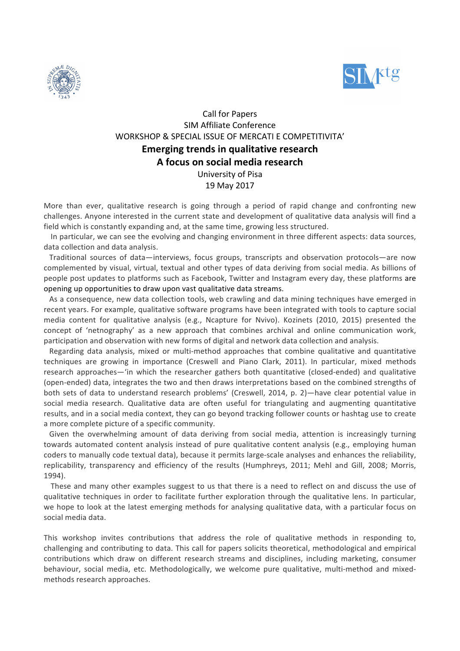



# Call for Papers SIM Affiliate Conference WORKSHOP & SPECIAL ISSUE OF MERCATI E COMPETITIVITA' **Emerging trends in qualitative research A focus on social media research** University of Pisa 19 May 2017

More than ever, qualitative research is going through a period of rapid change and confronting new challenges. Anyone interested in the current state and development of qualitative data analysis will find a field which is constantly expanding and, at the same time, growing less structured.

In particular, we can see the evolving and changing environment in three different aspects: data sources, data collection and data analysis.

Traditional sources of data—interviews, focus groups, transcripts and observation protocols—are now complemented by visual, virtual, textual and other types of data deriving from social media. As billions of people post updates to platforms such as Facebook, Twitter and Instagram every day, these platforms are opening up opportunities to draw upon vast qualitative data streams.

As a consequence, new data collection tools, web crawling and data mining techniques have emerged in recent years. For example, qualitative software programs have been integrated with tools to capture social media content for qualitative analysis (e.g., Ncapture for Nvivo). Kozinets (2010, 2015) presented the concept of 'netnography' as a new approach that combines archival and online communication work, participation and observation with new forms of digital and network data collection and analysis.

Regarding data analysis, mixed or multi-method approaches that combine qualitative and quantitative techniques are growing in importance (Creswell and Piano Clark, 2011). In particular, mixed methods research approaches—'in which the researcher gathers both quantitative (closed-ended) and qualitative (open-ended) data, integrates the two and then draws interpretations based on the combined strengths of both sets of data to understand research problems' (Creswell, 2014, p. 2)—have clear potential value in social media research. Qualitative data are often useful for triangulating and augmenting quantitative results, and in a social media context, they can go beyond tracking follower counts or hashtag use to create a more complete picture of a specific community.

Given the overwhelming amount of data deriving from social media, attention is increasingly turning towards automated content analysis instead of pure qualitative content analysis (e.g., employing human coders to manually code textual data), because it permits large-scale analyses and enhances the reliability, replicability, transparency and efficiency of the results (Humphreys, 2011; Mehl and Gill, 2008; Morris, 1994). 

These and many other examples suggest to us that there is a need to reflect on and discuss the use of qualitative techniques in order to facilitate further exploration through the qualitative lens. In particular, we hope to look at the latest emerging methods for analysing qualitative data, with a particular focus on social media data.

This workshop invites contributions that address the role of qualitative methods in responding to, challenging and contributing to data. This call for papers solicits theoretical, methodological and empirical contributions which draw on different research streams and disciplines, including marketing, consumer behaviour, social media, etc. Methodologically, we welcome pure qualitative, multi-method and mixedmethods research approaches.